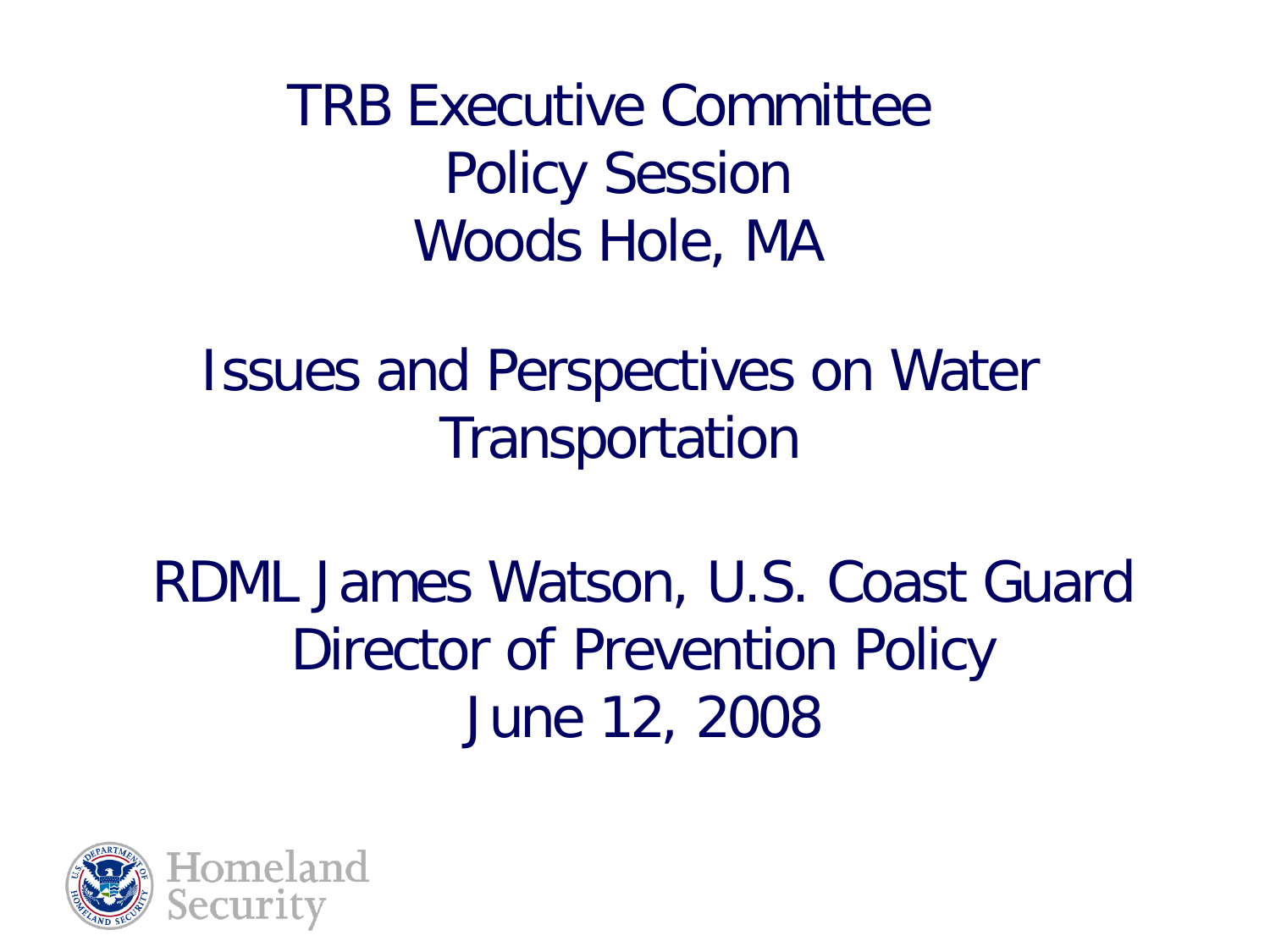TRB Executive Committee Policy Session Woods Hole, MA

Issues and Perspectives on Water **Transportation** 

RDML James Watson, U.S. Coast Guard Director of Prevention Policy June 12, 2008

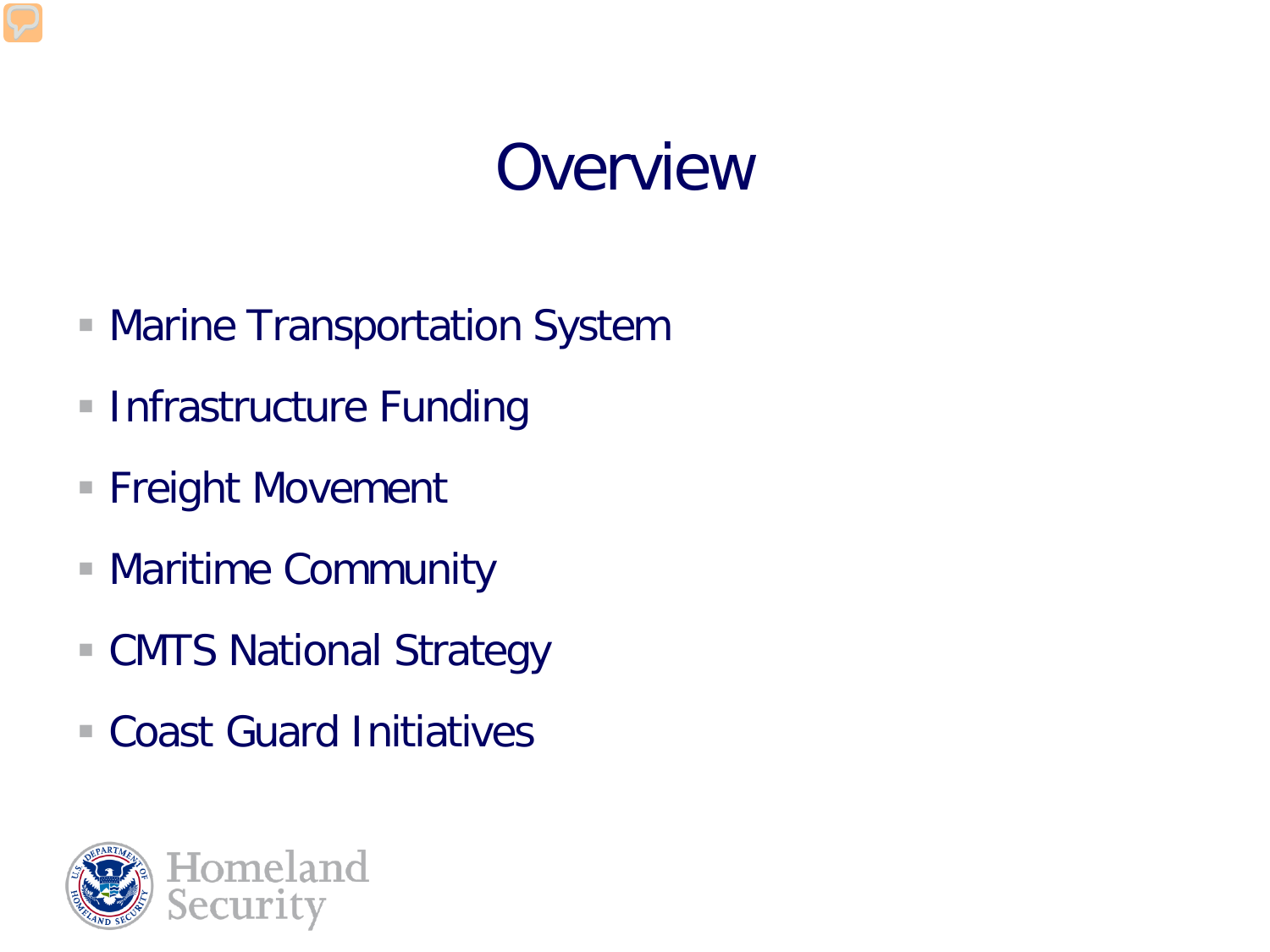#### **Overview**

- **Marine Transportation System**
- **Infrastructure Funding**
- Freight Movement
- Maritime Community
- CMTS National Strategy
- Coast Guard Initiatives

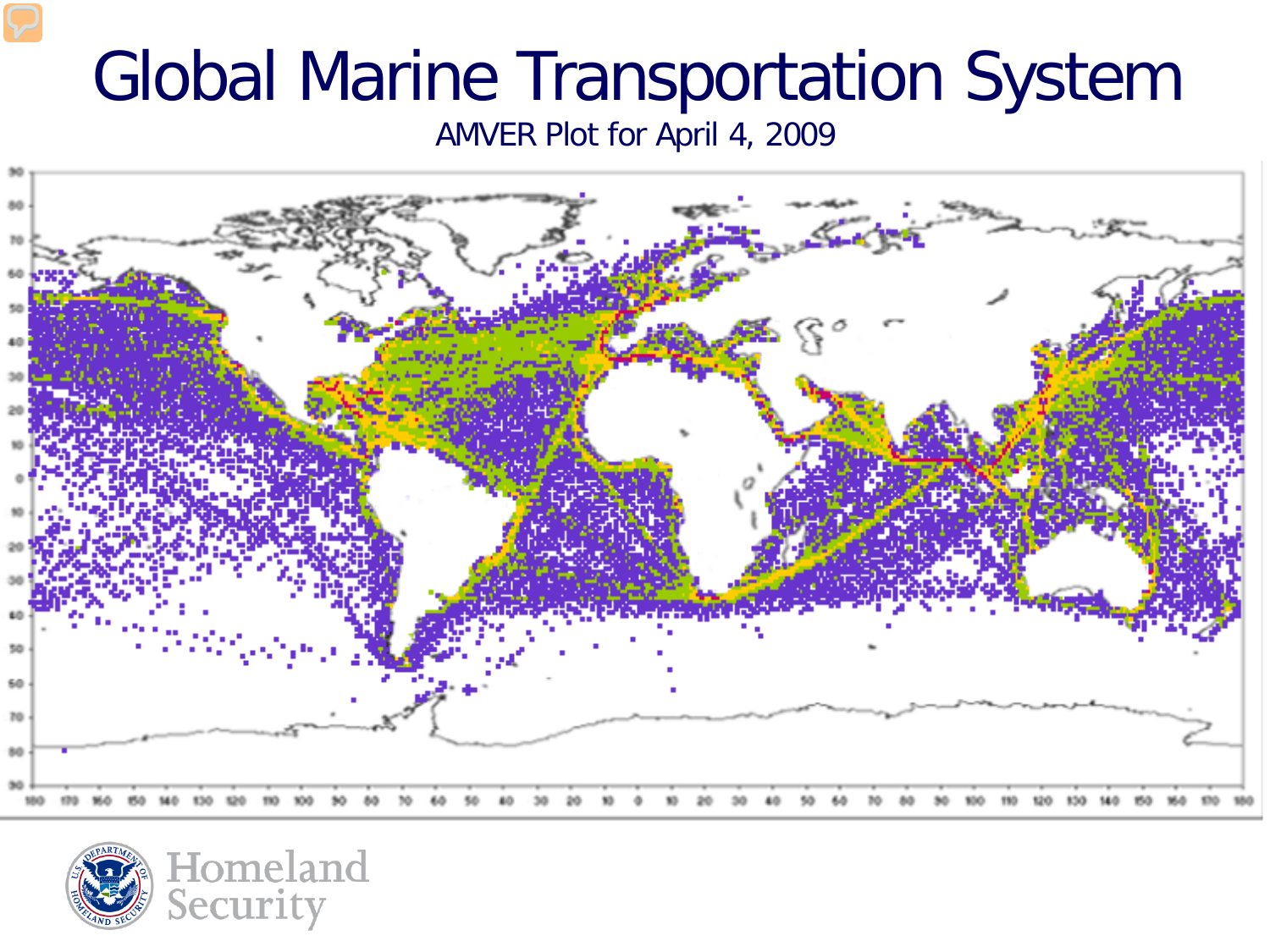### Global Marine Transportation System

AMVER Plot for April 4, 2009



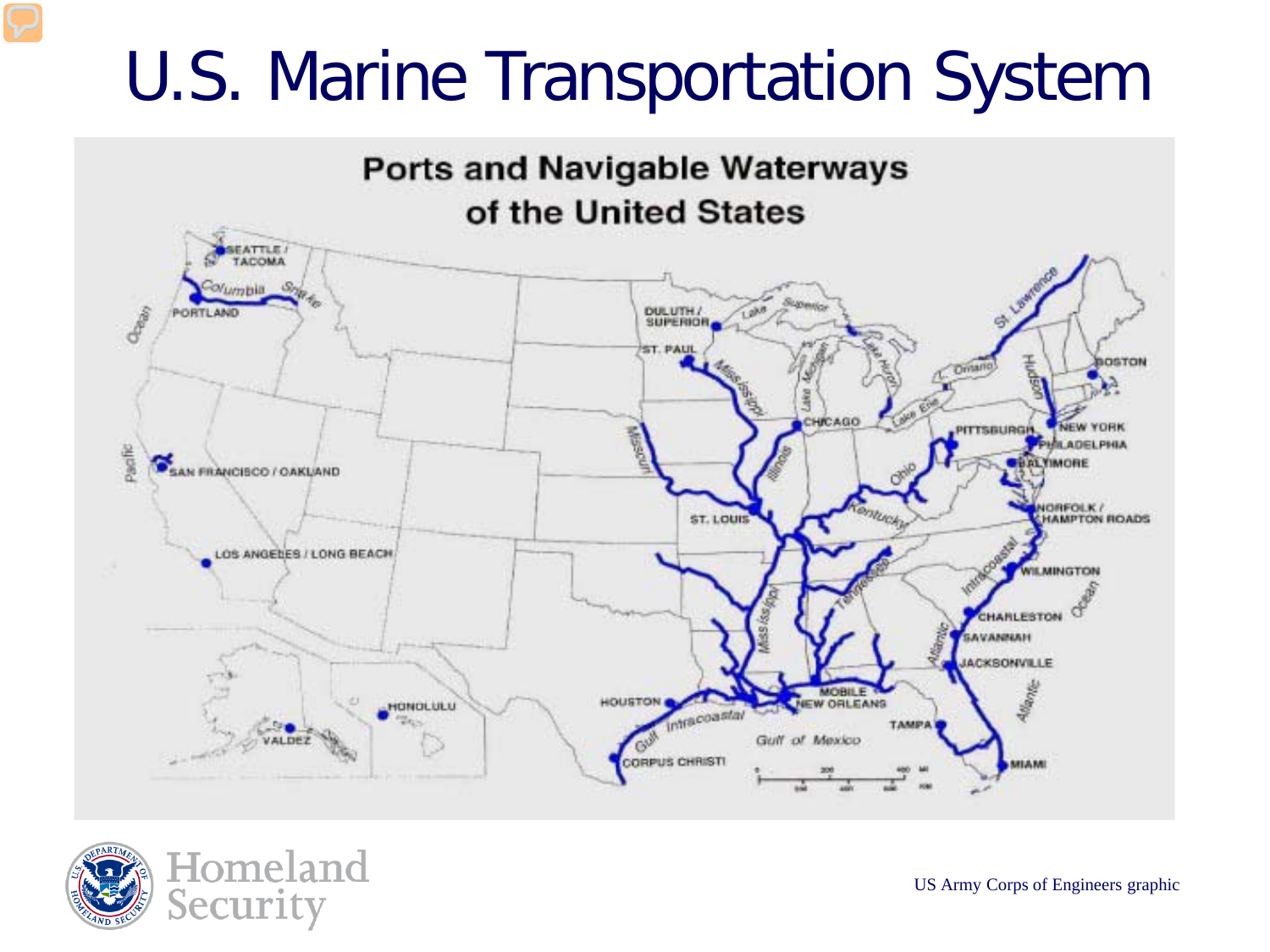### U.S. Marine Transportation System



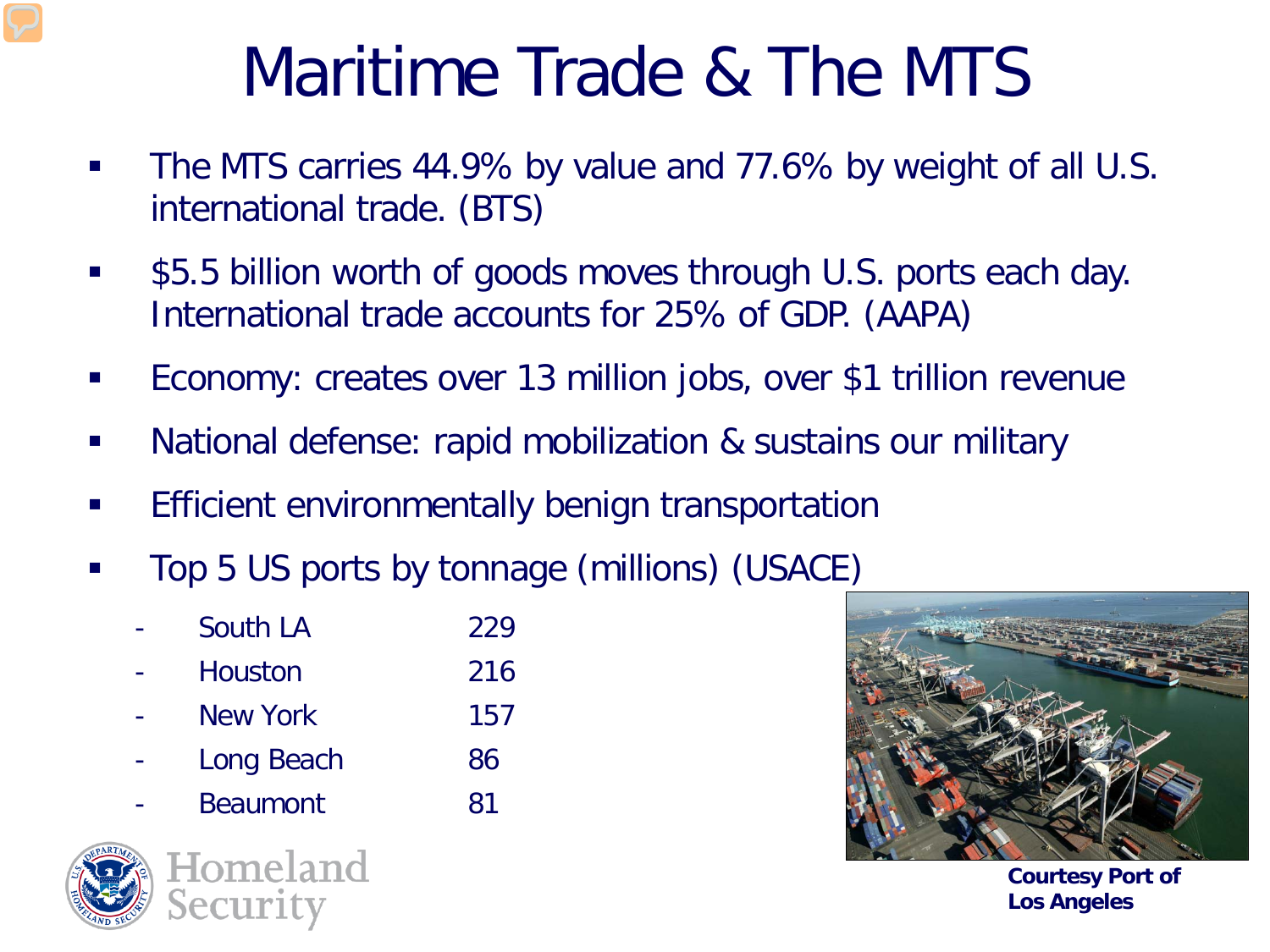### Maritime Trade & The MTS

- The MTS carries 44.9% by value and 77.6% by weight of all U.S. international trade. (BTS)
- **5.5 billion worth of goods moves through U.S. ports each day.** International trade accounts for 25% of GDP. (AAPA)
- **Economy: creates over 13 million jobs, over \$1 trillion revenue**
- **National defense: rapid mobilization & sustains our military**
- **Efficient environmentally benign transportation**
- **Top 5 US ports by tonnage (millions) (USACE)** 
	- South LA 229
	- Houston 216
	- New York 157
	- Long Beach 86
	- Beaumont 81







**Courtesy Port of Los Angeles**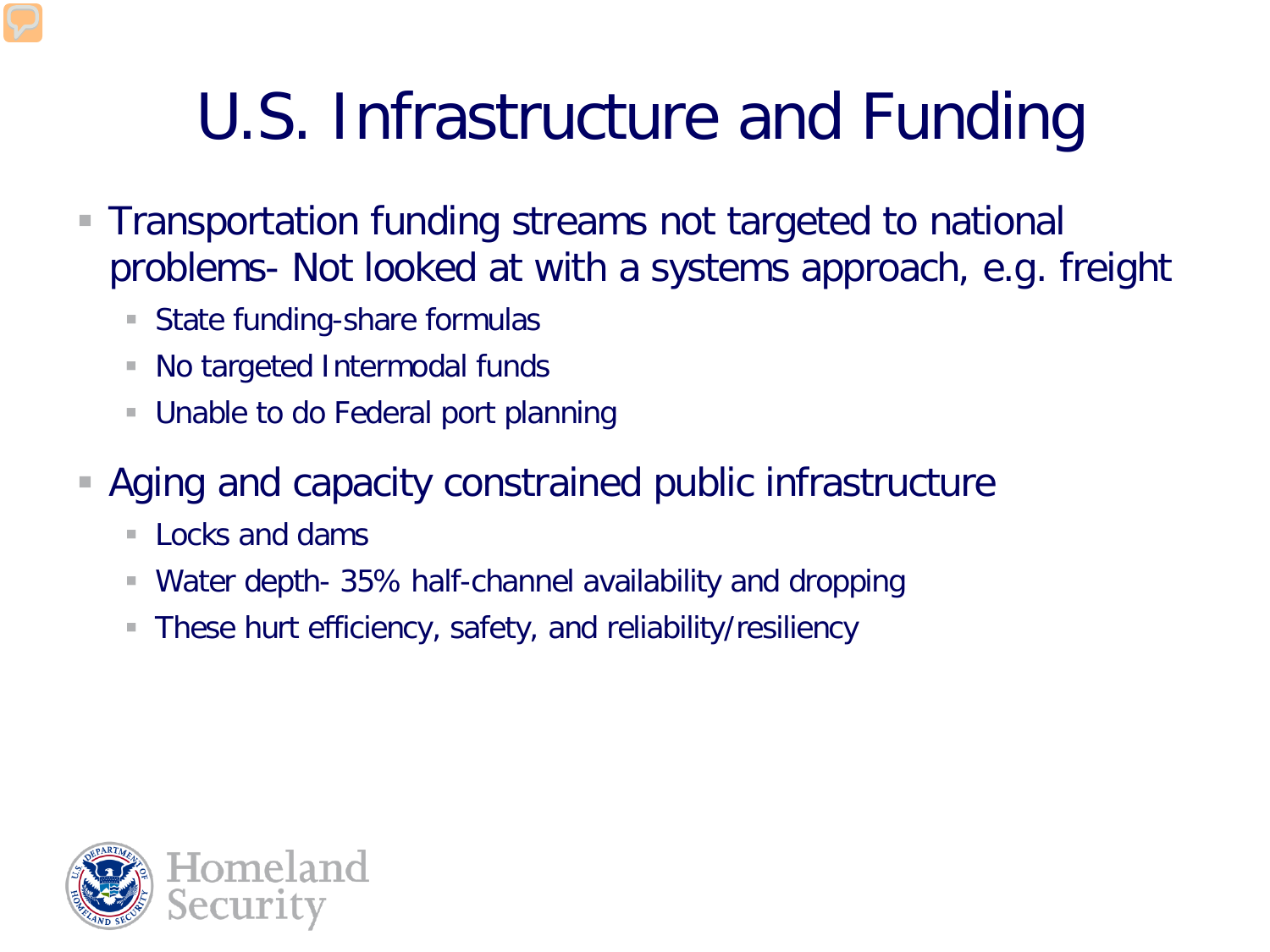# U.S. Infrastructure and Funding

- Transportation funding streams not targeted to national problems- Not looked at with a systems approach, e.g. freight
	- State funding-share formulas
	- No targeted Intermodal funds
	- Unable to do Federal port planning
- Aging and capacity constrained public infrastructure
	- $\blacksquare$  Locks and dams
	- Water depth- 35% half-channel availability and dropping
	- These hurt efficiency, safety, and reliability/resiliency

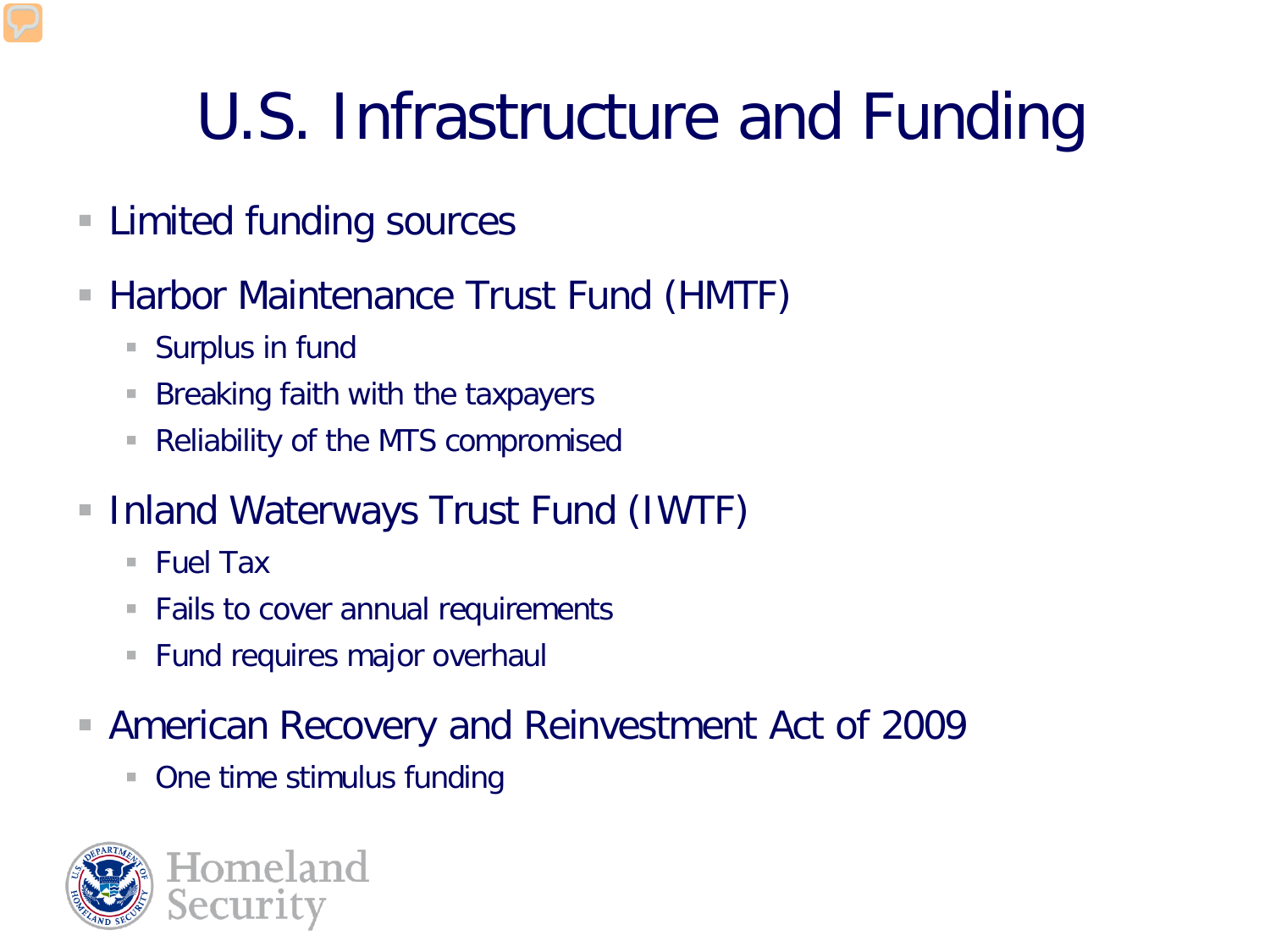# U.S. Infrastructure and Funding

- Limited funding sources
- Harbor Maintenance Trust Fund (HMTF)
	- Surplus in fund
	- **Breaking faith with the taxpayers**
	- Reliability of the MTS compromised
- **Inland Waterways Trust Fund (IWTF)** 
	- Fuel Tax
	- **Fails to cover annual requirements**
	- **Fund requires major overhaul**
- American Recovery and Reinvestment Act of 2009
	- One time stimulus funding

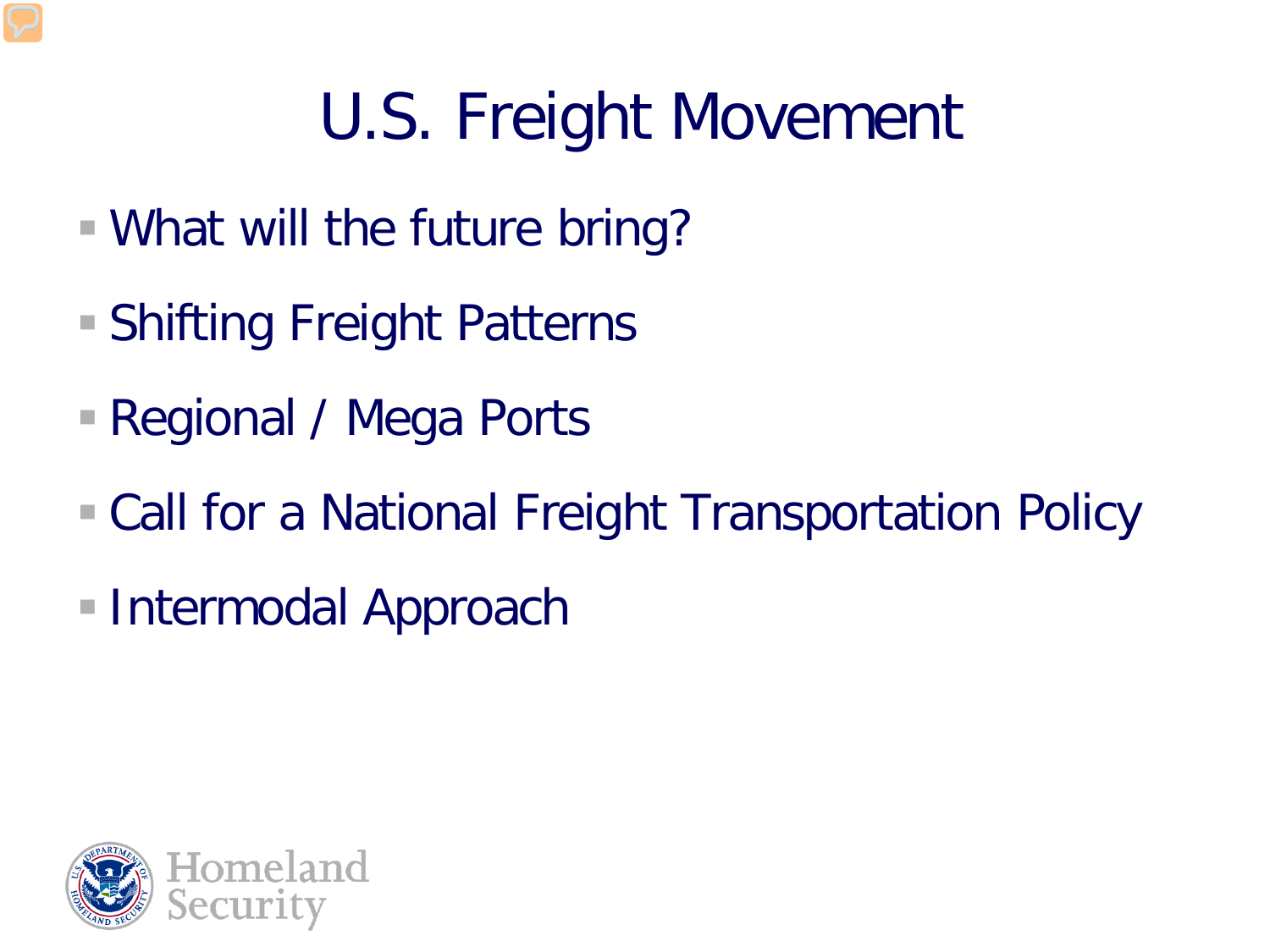# U.S. Freight Movement

- What will the future bring?
- Shifting Freight Patterns
- Regional / Mega Ports
- Call for a National Freight Transportation Policy
- Intermodal Approach

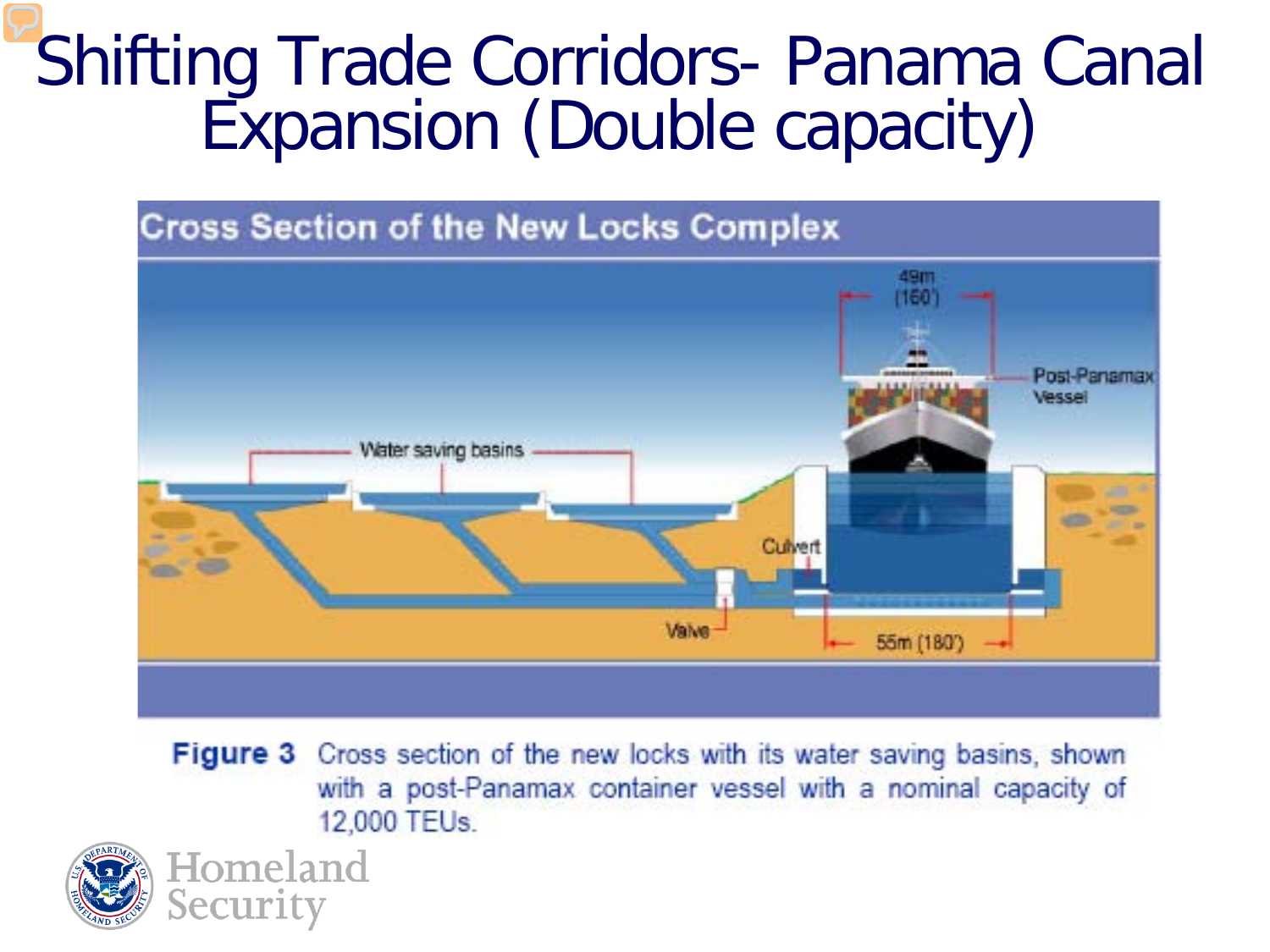#### Shifting Trade Corridors- Panama Canal Expansion (Double capacity)



**Figure 3** Cross section of the new locks with its water saving basins, shown with a post-Panamax container vessel with a nominal capacity of 12,000 TEUs.



Homeland

Security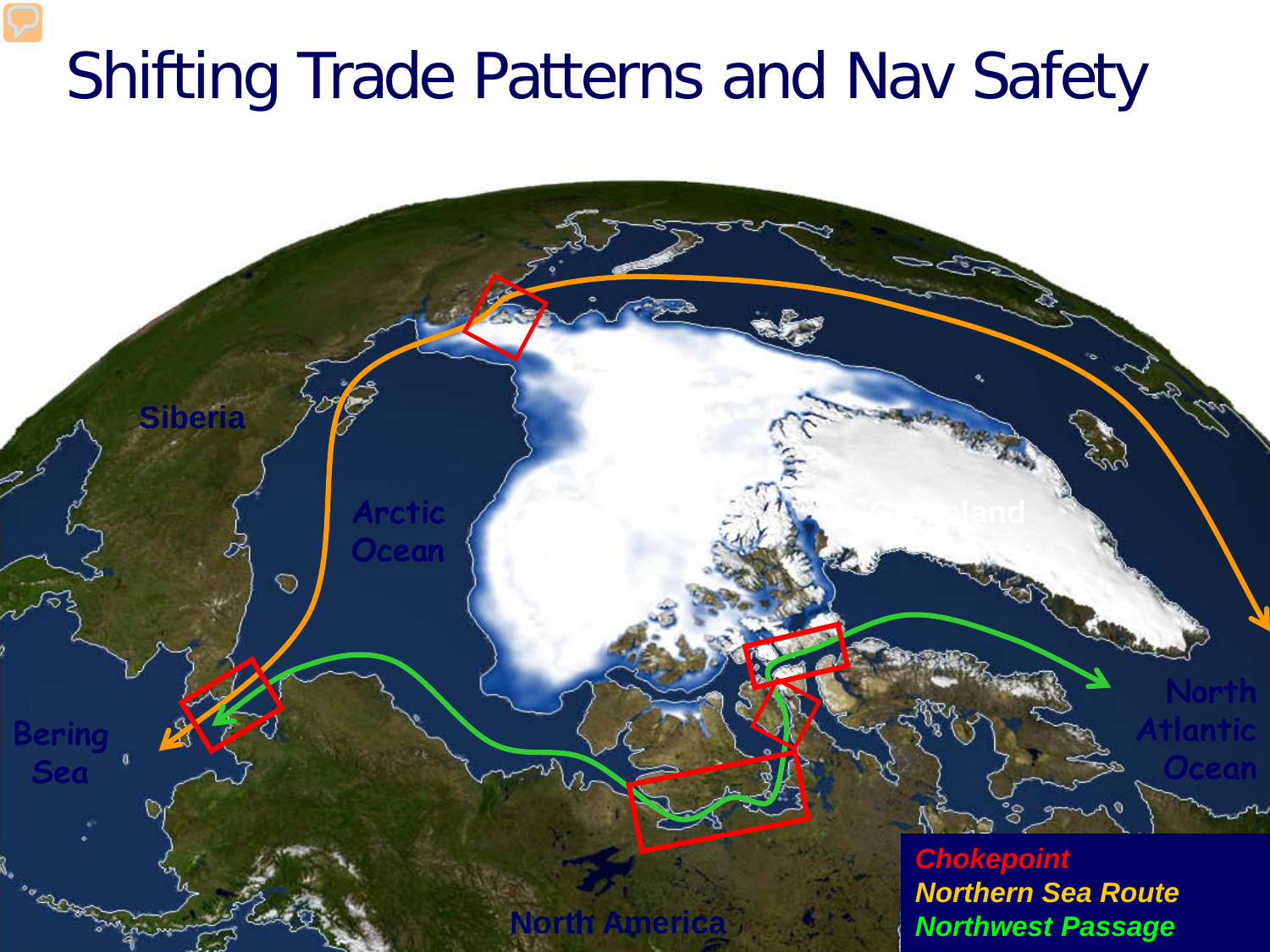### Shifting Trade Patterns and Nav Safety

**Siberia**

**Bering**

**Sea**

**Arctic**

**Ocean**

⊙

**North America** <sup>10</sup> *Northwest PassageChokepoint Northern Sea Route*

**North**

**Ocean**

**Atlantic**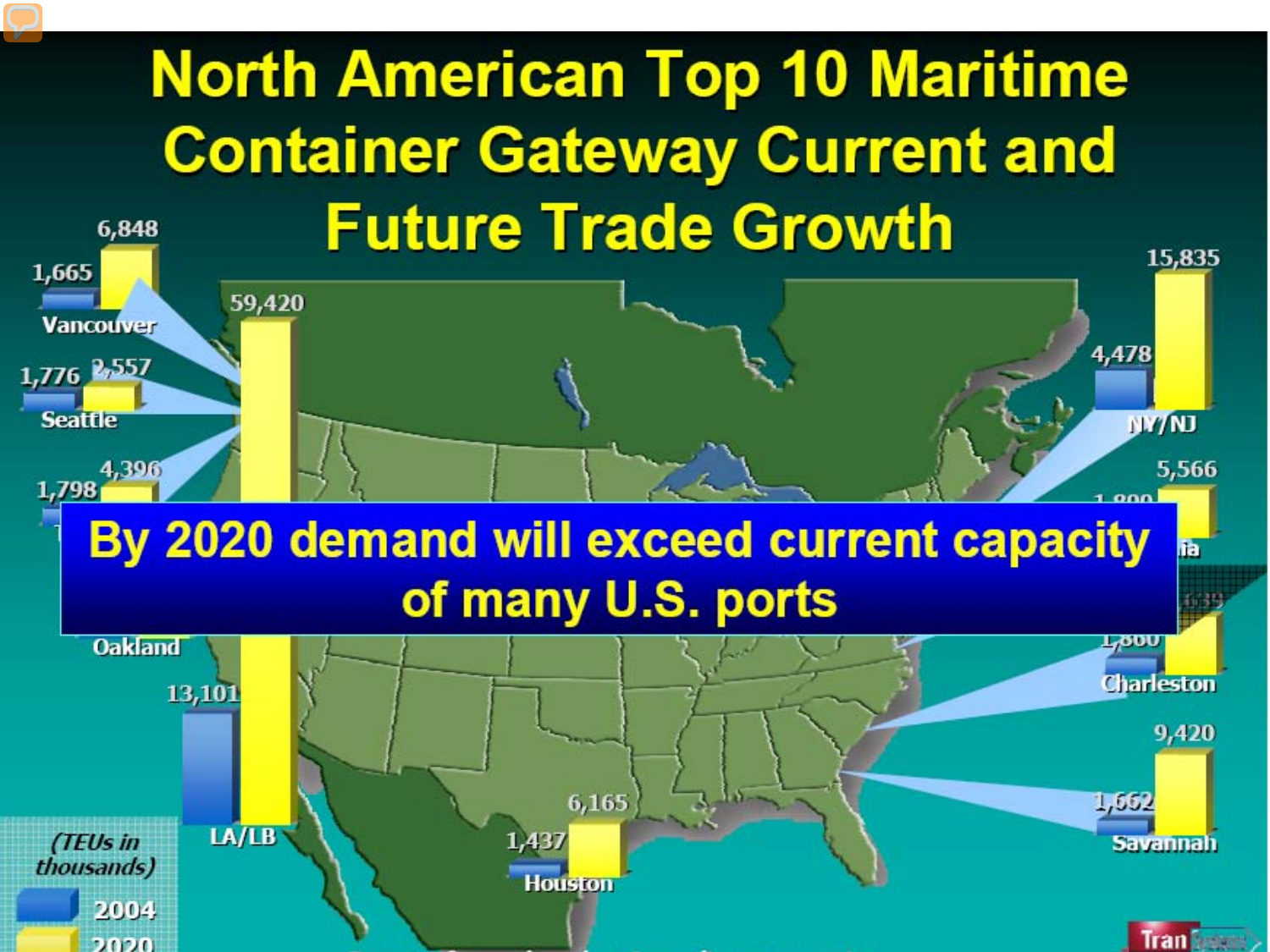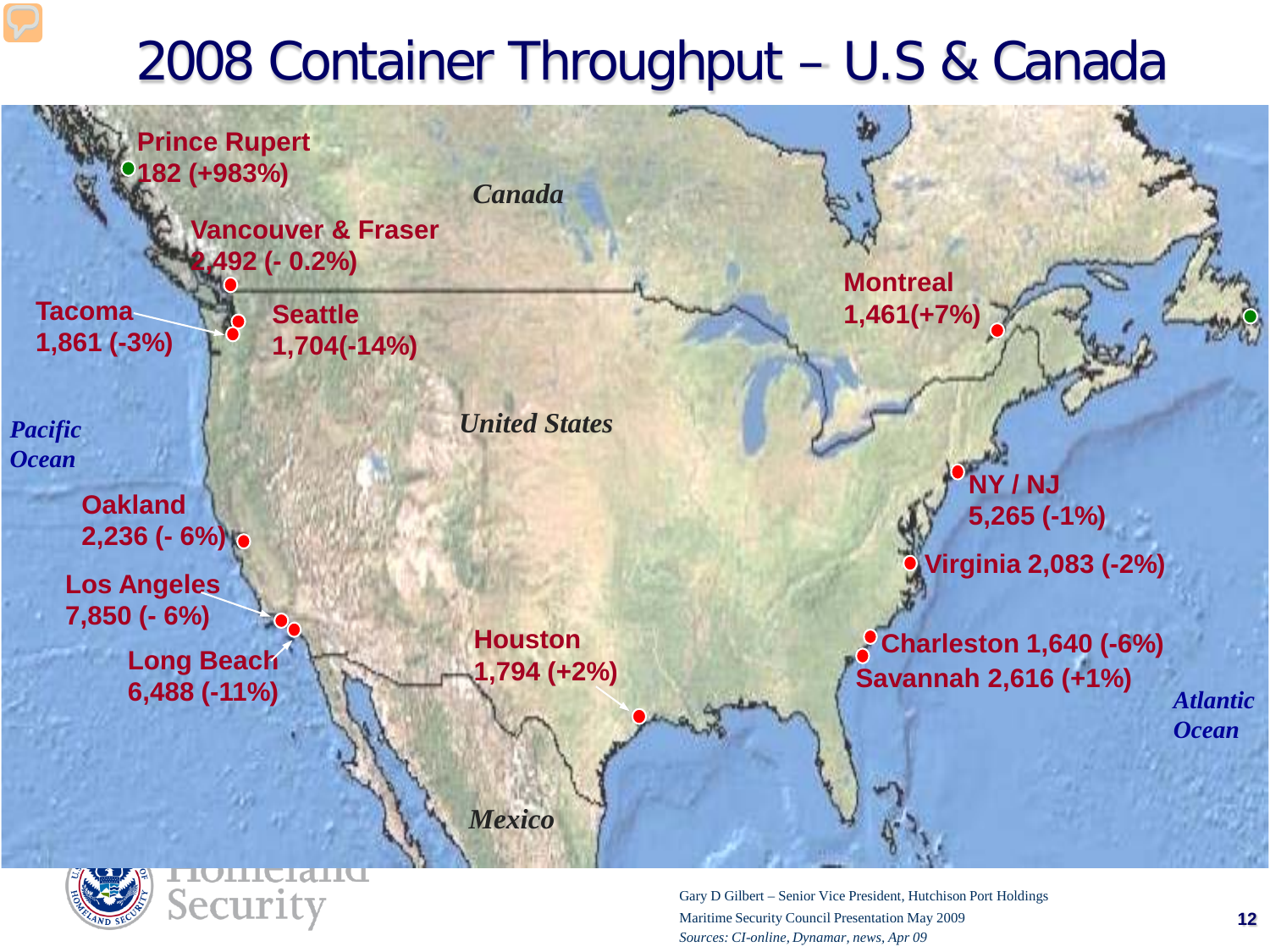#### 2008 Container Throughput – U.S & Canada





Gary D Gilbert – Senior Vice President, Hutchison Port Holdings Maritime Security Council Presentation May 2009 *Sources: CI-online, Dynamar, news, Apr 09*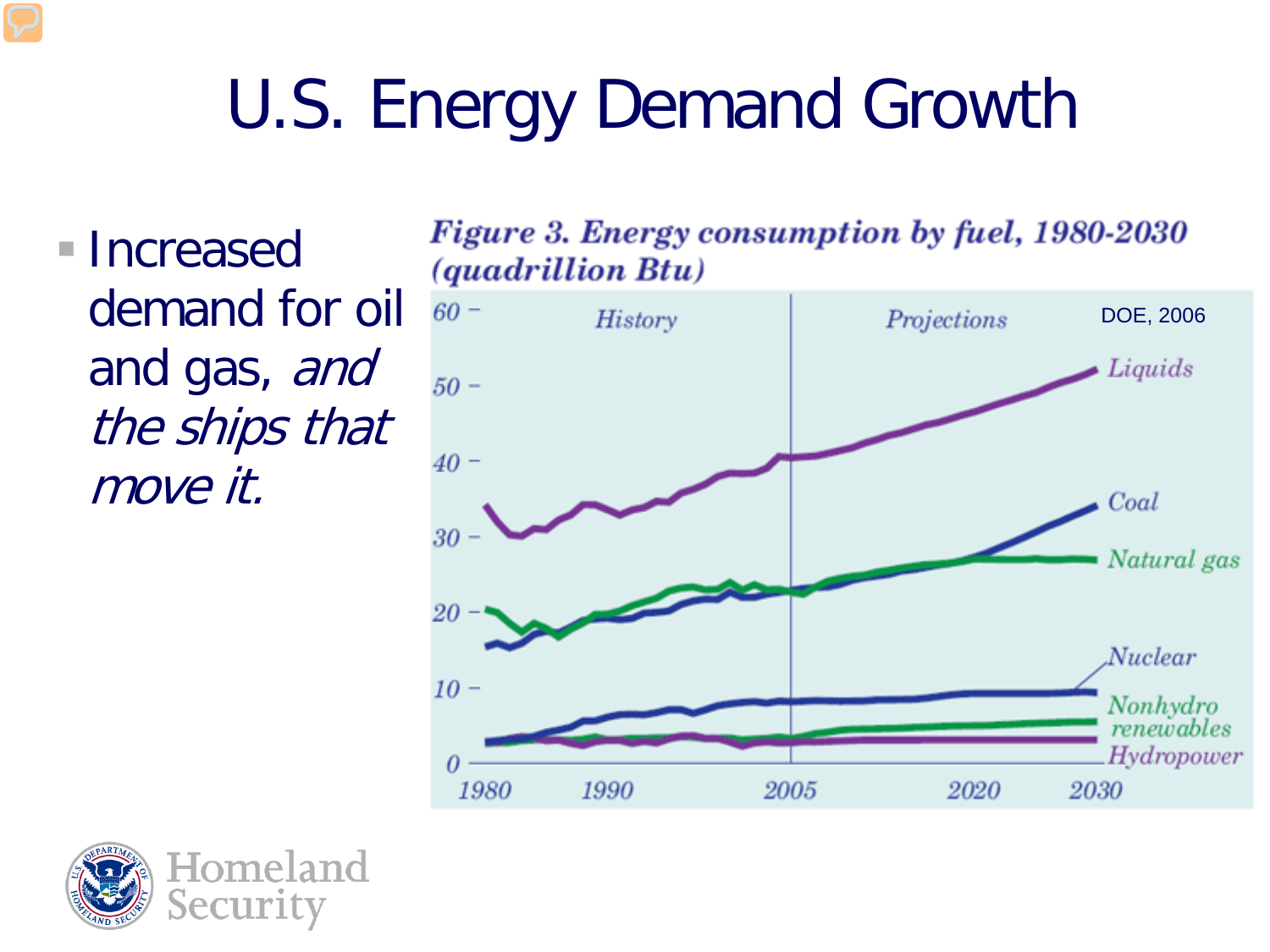# U.S. Energy Demand Growth

■ Increased demand for oil and gas, and the ships that move it.



**Figure 3. Energy consumption by fuel, 1980-2030** 

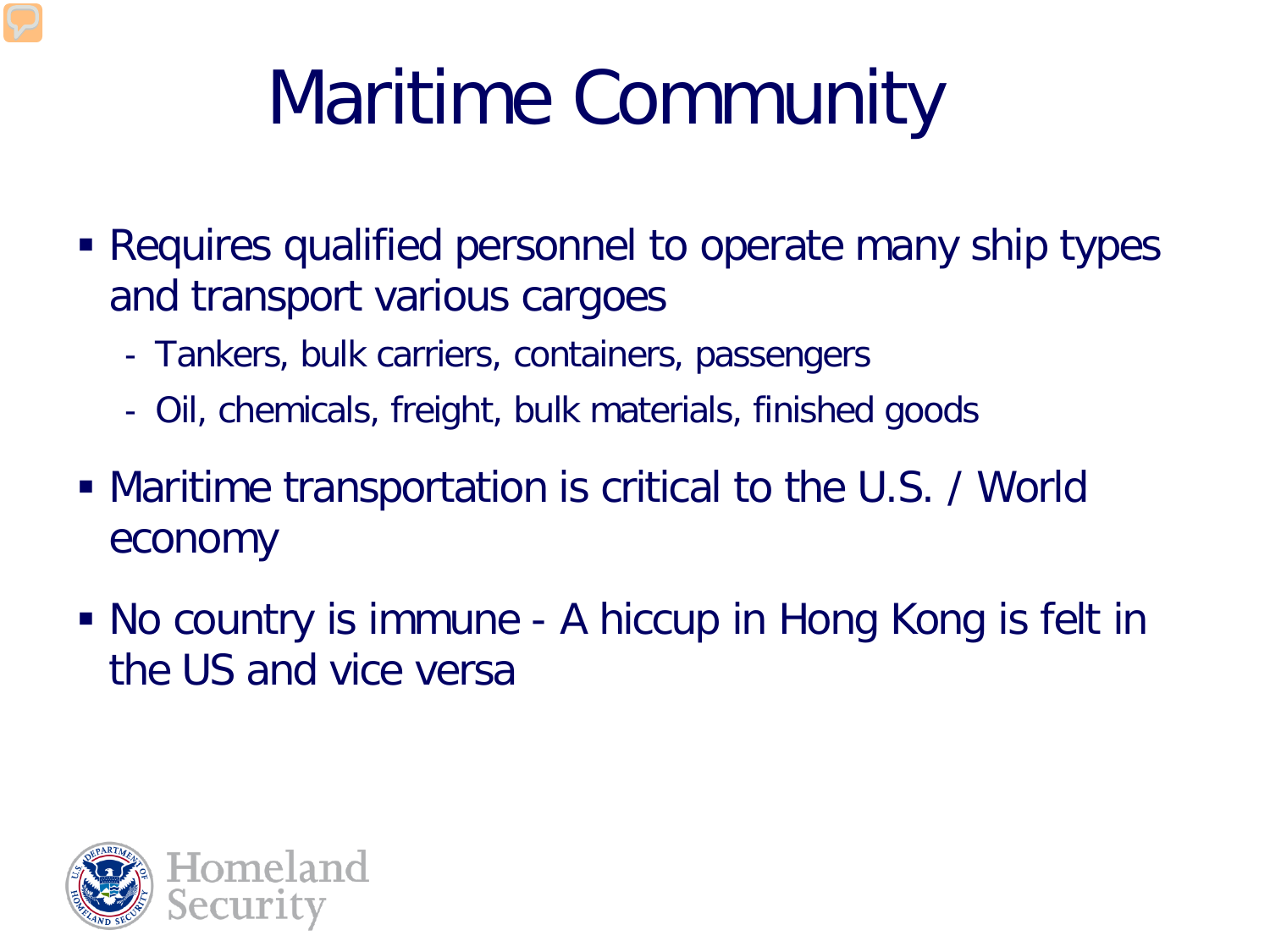# Maritime Community

- Requires qualified personnel to operate many ship types and transport various cargoes
	- Tankers, bulk carriers, containers, passengers
	- Oil, chemicals, freight, bulk materials, finished goods
- Maritime transportation is critical to the U.S. / World economy
- No country is immune A hiccup in Hong Kong is felt in the US and vice versa

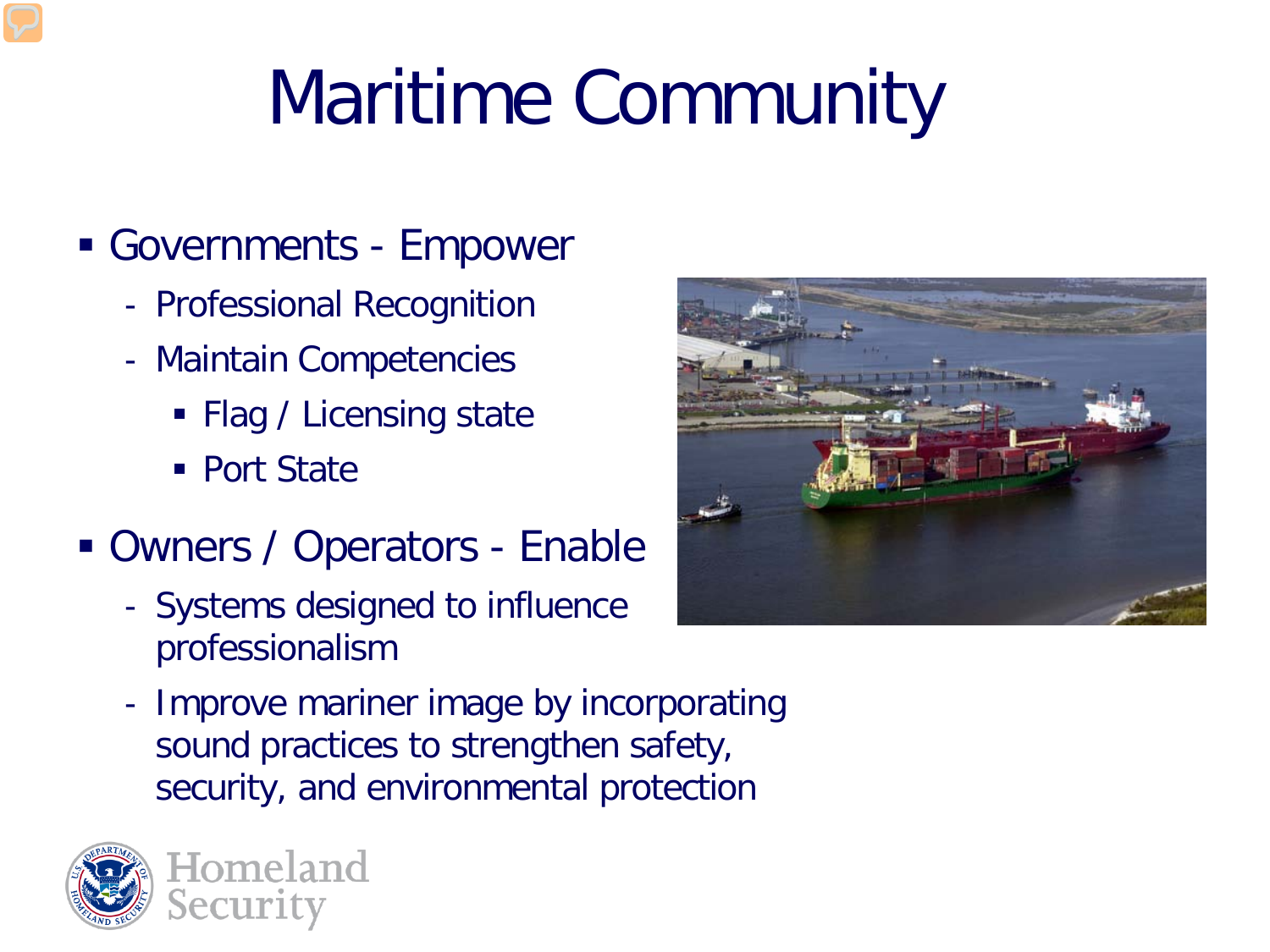# Maritime Community

#### Governments - Empower

- Professional Recognition
- Maintain Competencies
	- Flag / Licensing state
	- Port State
- Owners / Operators Enable
	- Systems designed to influence professionalism



- Improve mariner image by incorporating sound practices to strengthen safety, security, and environmental protection

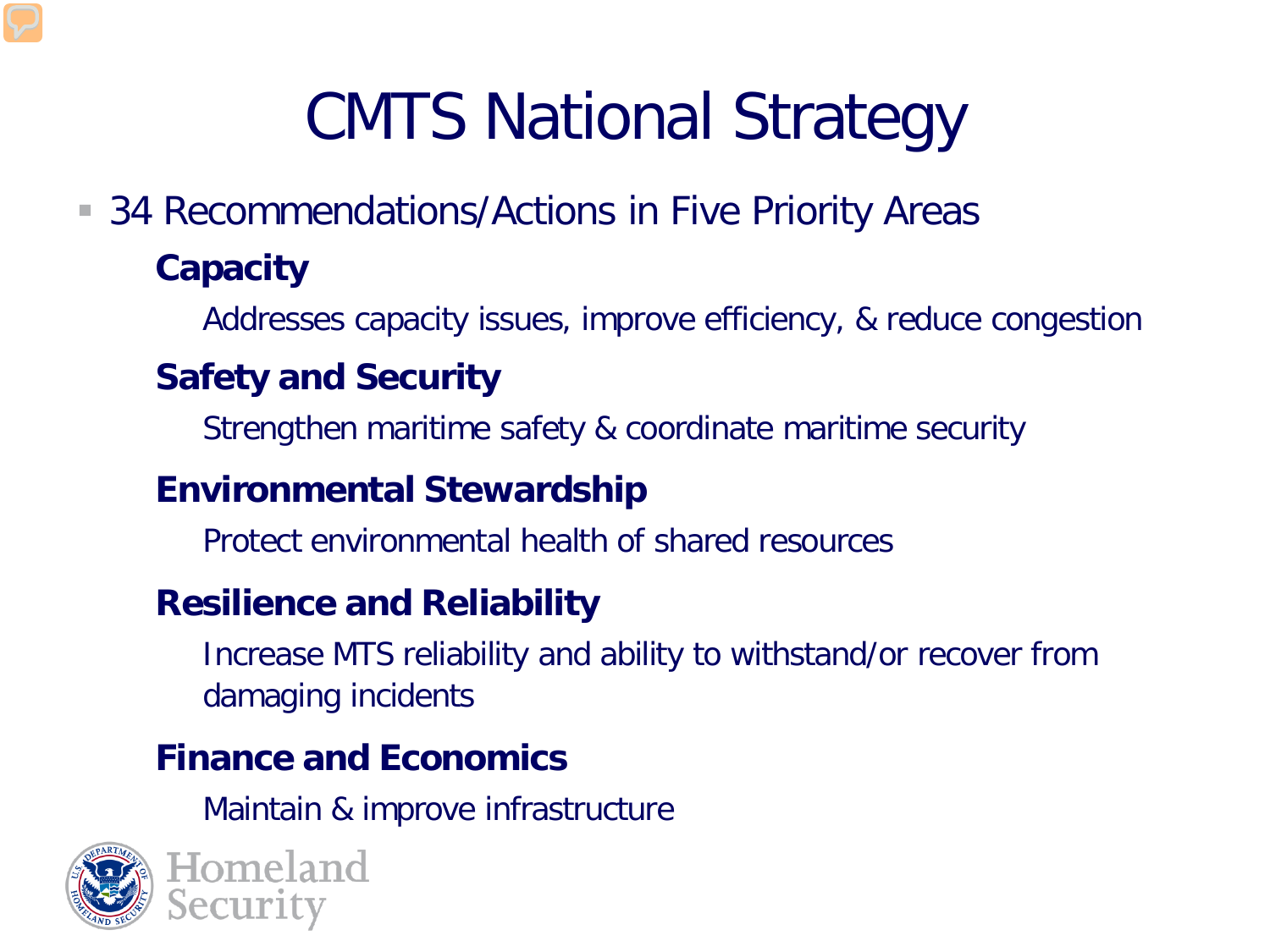# CMTS National Strategy

■ 34 Recommendations/Actions in Five Priority Areas

#### • **Capacity**

Addresses capacity issues, improve efficiency, & reduce congestion

#### • **Safety and Security**

Strengthen maritime safety & coordinate maritime security

#### • **Environmental Stewardship**

− Protect environmental health of shared resources

#### • **Resilience and Reliability**

− Increase MTS reliability and ability to withstand/or recover from damaging incidents

#### • **Finance and Economics**

Maintain & improve infrastructure



Homeland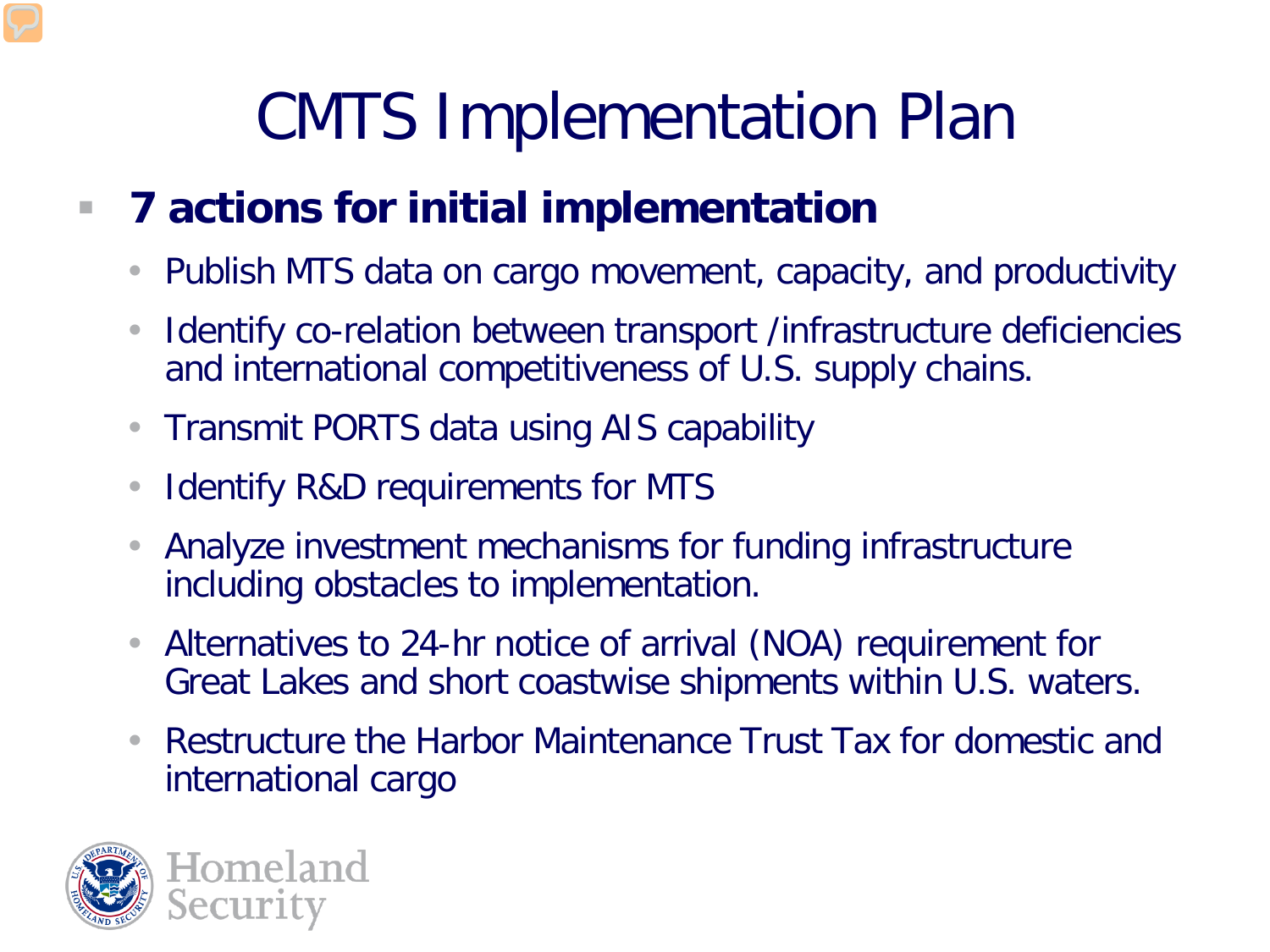### CMTS Implementation Plan

#### **7 actions for initial implementation**

- Publish MTS data on cargo movement, capacity, and productivity
- Identify co-relation between transport /infrastructure deficiencies and international competitiveness of U.S. supply chains.
- Transmit PORTS data using AIS capability
- Identify R&D requirements for MTS
- Analyze investment mechanisms for funding infrastructure including obstacles to implementation.
- Alternatives to 24-hr notice of arrival (NOA) requirement for Great Lakes and short coastwise shipments within U.S. waters.
- Restructure the Harbor Maintenance Trust Tax for domestic and international cargo

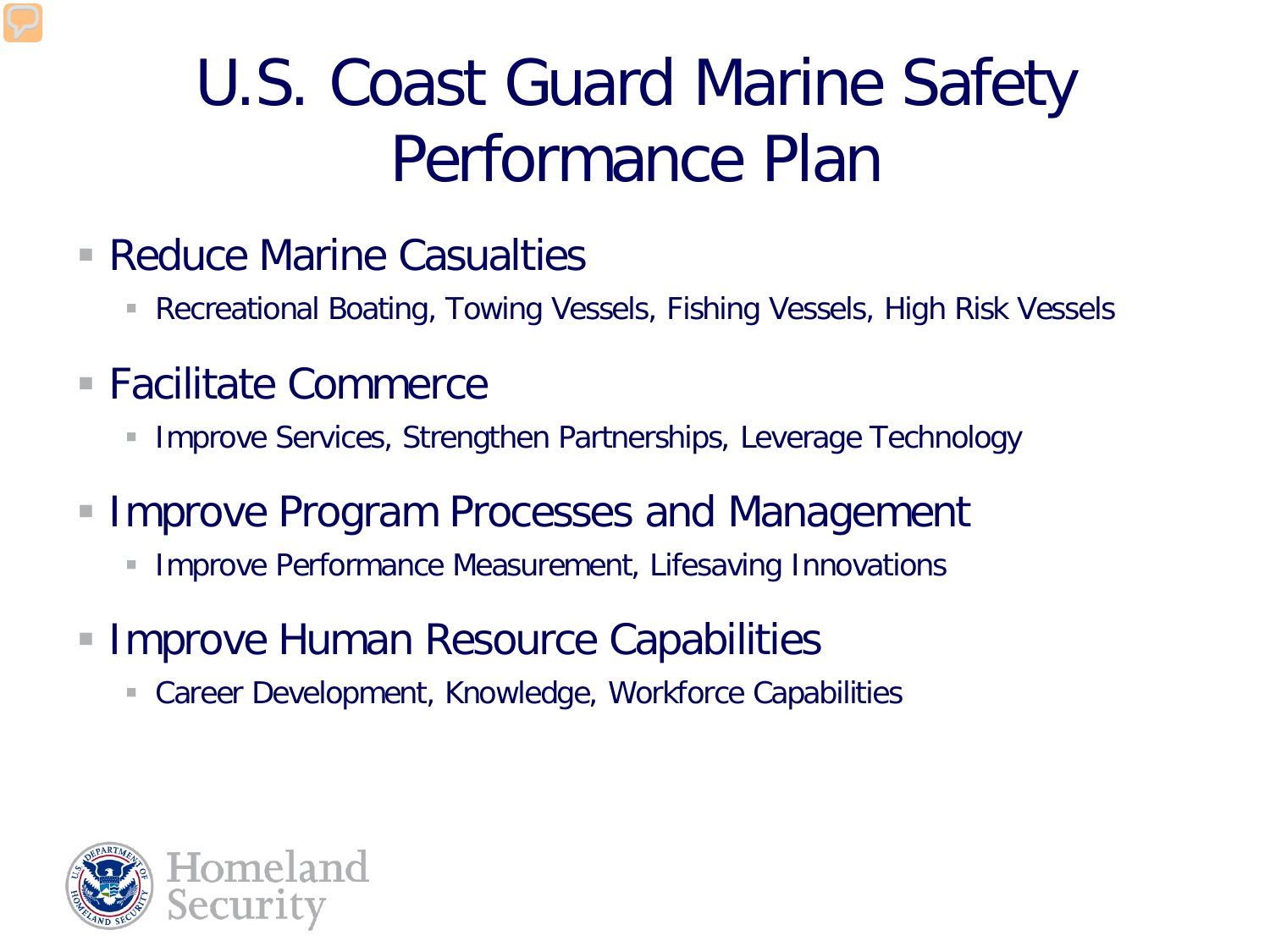### U.S. Coast Guard Marine Safety Performance Plan

- Reduce Marine Casualties
	- Recreational Boating, Towing Vessels, Fishing Vessels, High Risk Vessels
- Facilitate Commerce
	- **Improve Services, Strengthen Partnerships, Leverage Technology**
- Improve Program Processes and Management
	- **Improve Performance Measurement, Lifesaving Innovations**
- Improve Human Resource Capabilities
	- Career Development, Knowledge, Workforce Capabilities

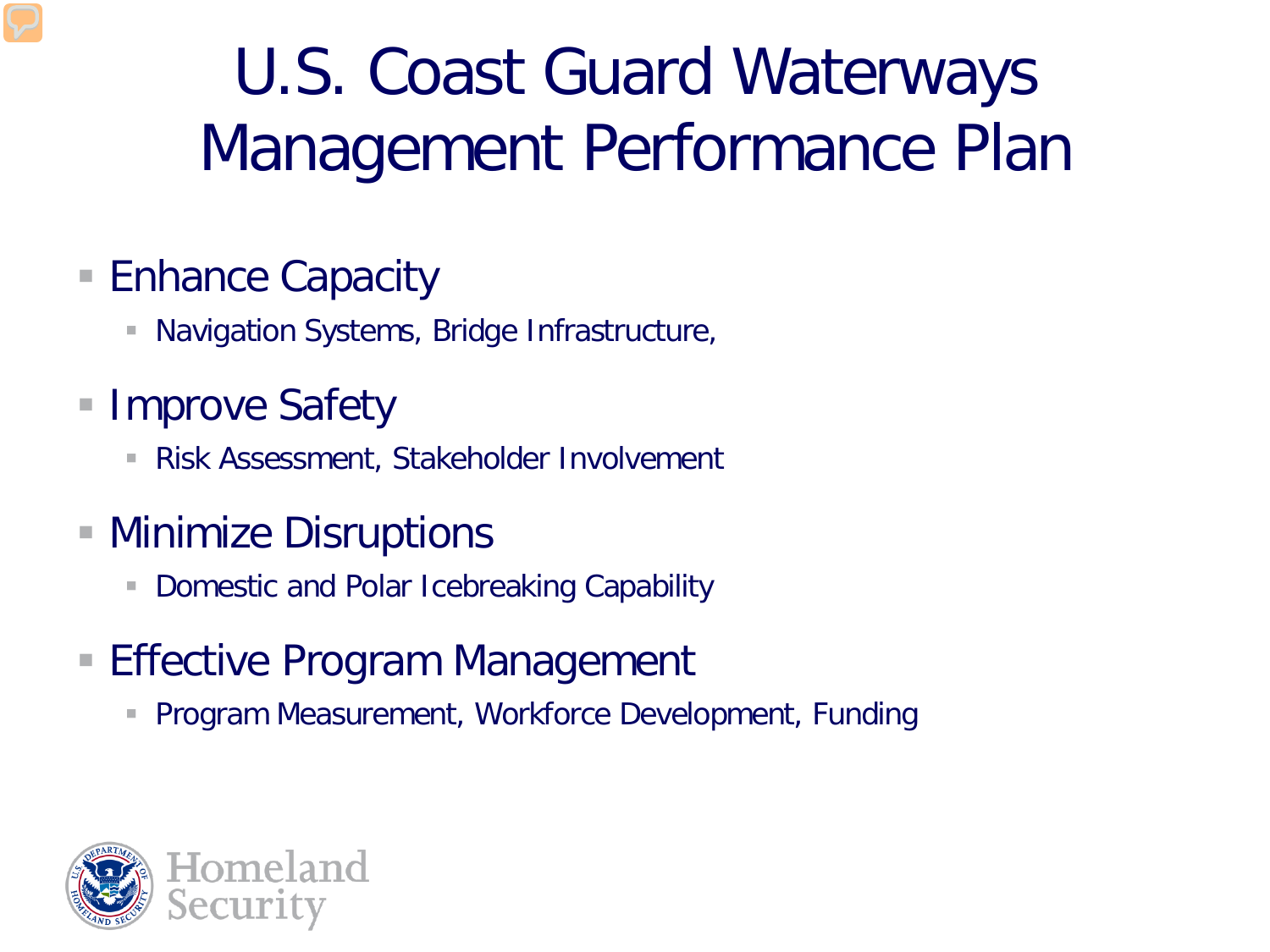### U.S. Coast Guard Waterways Management Performance Plan

#### ■ Enhance Capacity

- **Navigation Systems, Bridge Infrastructure,**
- **Improve Safety** 
	- Risk Assessment, Stakeholder Involvement
- Minimize Disruptions
	- **Domestic and Polar Icebreaking Capability**
- **Effective Program Management** 
	- **Program Measurement, Workforce Development, Funding**